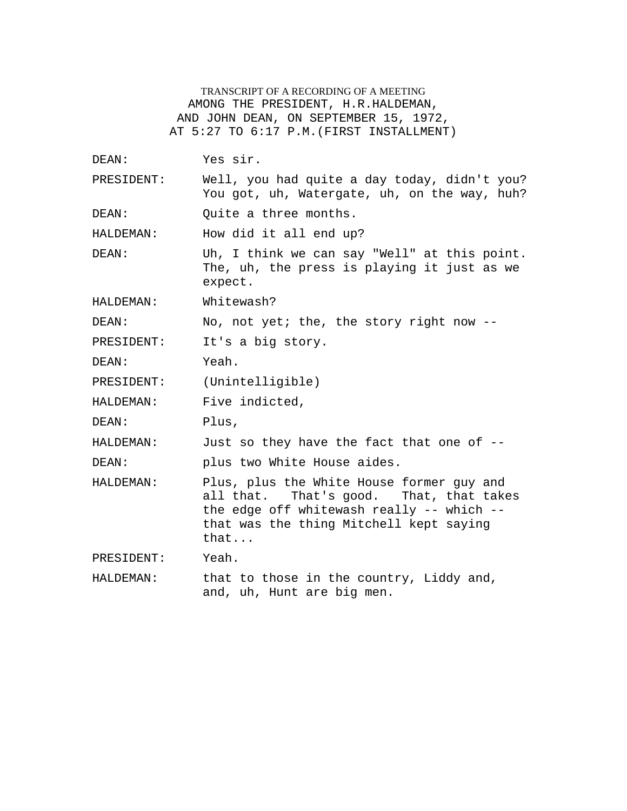TRANSCRIPT OF A RECORDING OF A MEETING AMONG THE PRESIDENT, H.R.HALDEMAN, AND JOHN DEAN, ON SEPTEMBER 15, 1972, AT 5:27 TO 6:17 P.M.(FIRST INSTALLMENT)

DEAN: Yes sir. PRESIDENT: Well, you had quite a day today, didn't you? You got, uh, Watergate, uh, on the way, huh? DEAN: Ouite a three months. HALDEMAN: How did it all end up? DEAN: Uh, I think we can say "Well" at this point. The, uh, the press is playing it just as we expect. HALDEMAN: Whitewash? DEAN: No, not yet; the, the story right now --PRESIDENT: It's a big story. DEAN: Yeah. PRESIDENT: (Unintelligible) HALDEMAN: Five indicted, DEAN: Plus, HALDEMAN: Just so they have the fact that one of -- DEAN: plus two White House aides. HALDEMAN: Plus, plus the White House former guy and all that. That's good. That, that takes the edge off whitewash really -- which - that was the thing Mitchell kept saying that...

PRESIDENT: Yeah.

HALDEMAN: that to those in the country, Liddy and, and, uh, Hunt are big men.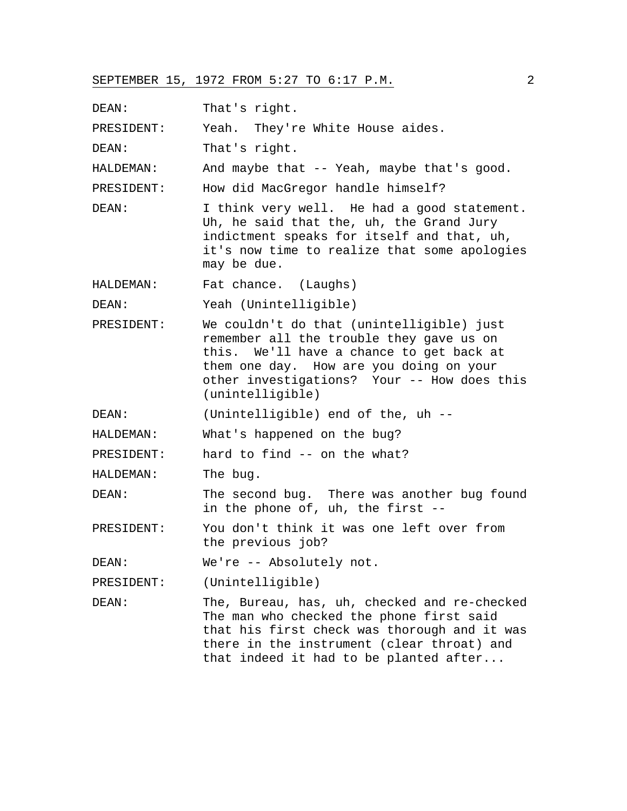DEAN: That's right.

PRESIDENT: Yeah. They're White House aides.

DEAN: That's right.

HALDEMAN: And maybe that -- Yeah, maybe that's good.

PRESIDENT: How did MacGregor handle himself?

DEAN: I think very well. He had a good statement. Uh, he said that the, uh, the Grand Jury indictment speaks for itself and that, uh, it's now time to realize that some apologies may be due.

HALDEMAN: Fat chance. (Laughs)

DEAN: Yeah (Unintelligible)

PRESIDENT: We couldn't do that (unintelligible) just remember all the trouble they gave us on this. We'll have a chance to get back at them one day. How are you doing on your other investigations? Your -- How does this (unintelligible)

DEAN: (Unintelligible) end of the, uh --

HALDEMAN: What's happened on the bug?

PRESIDENT: hard to find -- on the what?

HALDEMAN: The bug.

DEAN: The second bug. There was another bug found in the phone of, uh, the first --

PRESIDENT: You don't think it was one left over from the previous job?

DEAN: We're -- Absolutely not.

PRESIDENT: (Unintelligible)

DEAN: The, Bureau, has, uh, checked and re-checked The man who checked the phone first said that his first check was thorough and it was there in the instrument (clear throat) and that indeed it had to be planted after...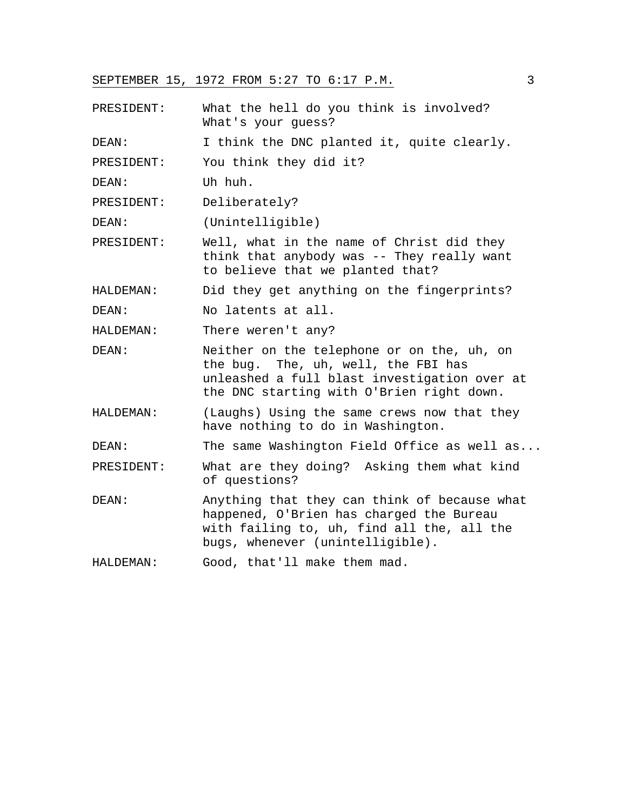PRESIDENT: What the hell do you think is involved? What's your guess?

DEAN: I think the DNC planted it, quite clearly.

PRESIDENT: You think they did it?

DEAN: Uh huh.

PRESIDENT: Deliberately?

DEAN: (Unintelligible)

PRESIDENT: Well, what in the name of Christ did they think that anybody was -- They really want to believe that we planted that?

HALDEMAN: Did they get anything on the fingerprints?

DEAN: No latents at all.

HALDEMAN: There weren't any?

- DEAN: Neither on the telephone or on the, uh, on the bug. The, uh, well, the FBI has unleashed a full blast investigation over at the DNC starting with O'Brien right down.
- HALDEMAN: (Laughs) Using the same crews now that they have nothing to do in Washington.

DEAN: The same Washington Field Office as well as...

- PRESIDENT: What are they doing? Asking them what kind of questions?
- DEAN: Anything that they can think of because what happened, O'Brien has charged the Bureau with failing to, uh, find all the, all the bugs, whenever (unintelligible).

HALDEMAN: Good, that'll make them mad.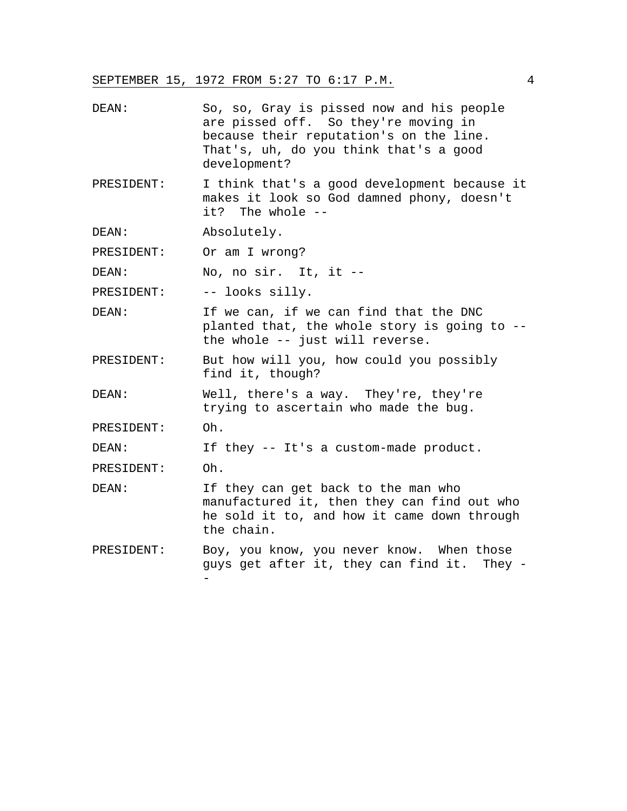| DEAN: | So, so, Gray is pissed now and his people |
|-------|-------------------------------------------|
|       | are pissed off. So they're moving in      |
|       | because their reputation's on the line.   |
|       | That's, uh, do you think that's a good    |
|       | development?                              |

PRESIDENT: I think that's a good development because it makes it look so God damned phony, doesn't it? The whole --

DEAN: Absolutely.

PRESIDENT: Or am I wrong?

DEAN: No, no sir. It, it --

PRESIDENT: -- looks silly.

DEAN: If we can, if we can find that the DNC planted that, the whole story is going to - the whole -- just will reverse.

PRESIDENT: But how will you, how could you possibly find it, though?

DEAN: Well, there's a way. They're, they're trying to ascertain who made the bug.

PRESIDENT: Oh.

DEAN: If they -- It's a custom-made product.

PRESIDENT: Oh.

- DEAN: If they can get back to the man who manufactured it, then they can find out who he sold it to, and how it came down through the chain.
- PRESIDENT: Boy, you know, you never know. When those guys get after it, they can find it. They - -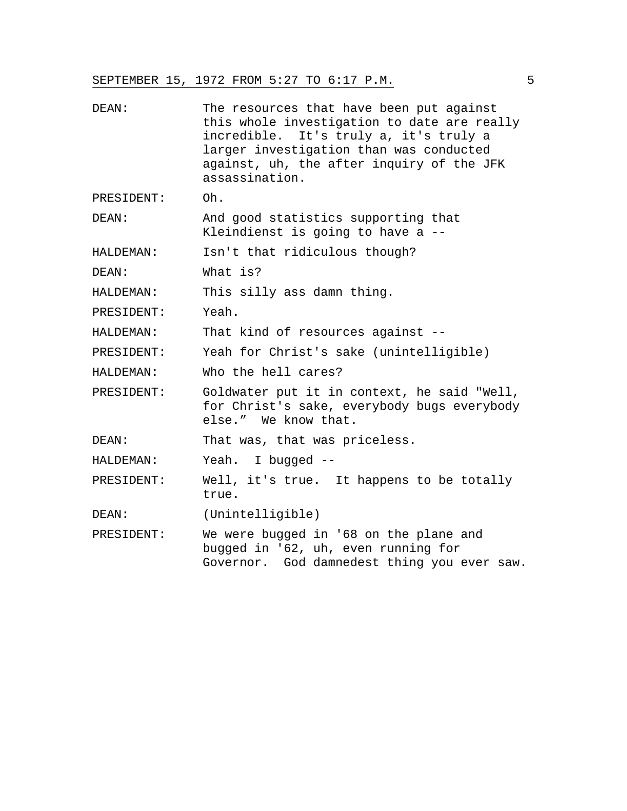| DEAN:      | The resources that have been put against<br>this whole investigation to date are really<br>incredible. It's truly a, it's truly a<br>larger investigation than was conducted<br>against, uh, the after inquiry of the JFK<br>assassination. |
|------------|---------------------------------------------------------------------------------------------------------------------------------------------------------------------------------------------------------------------------------------------|
| PRESIDENT: | Oh.                                                                                                                                                                                                                                         |
| DEAN:      | And good statistics supporting that<br>Kleindienst is going to have a --                                                                                                                                                                    |
| HALDEMAN:  | Isn't that ridiculous though?                                                                                                                                                                                                               |
| DEAN:      | What is?                                                                                                                                                                                                                                    |
| HALDEMAN:  | This silly ass damn thing.                                                                                                                                                                                                                  |
| PRESIDENT: | Yeah.                                                                                                                                                                                                                                       |
| HALDEMAN:  | That kind of resources against --                                                                                                                                                                                                           |
| PRESIDENT: | Yeah for Christ's sake (unintelligible)                                                                                                                                                                                                     |
| HALDEMAN:  | Who the hell cares?                                                                                                                                                                                                                         |
| PRESIDENT: | Goldwater put it in context, he said "Well,<br>for Christ's sake, everybody bugs everybody<br>else." We know that.                                                                                                                          |
| DEAN:      | That was, that was priceless.                                                                                                                                                                                                               |
| HALDEMAN:  | Yeah. I bugged --                                                                                                                                                                                                                           |
| PRESIDENT: | Well, it's true. It happens to be totally<br>true.                                                                                                                                                                                          |
| DEAN:      | (Unintelligible)                                                                                                                                                                                                                            |
| PRESIDENT: | We were bugged in '68 on the plane and<br>bugged in '62, uh, even running for<br>Governor. God damnedest thing you ever saw.                                                                                                                |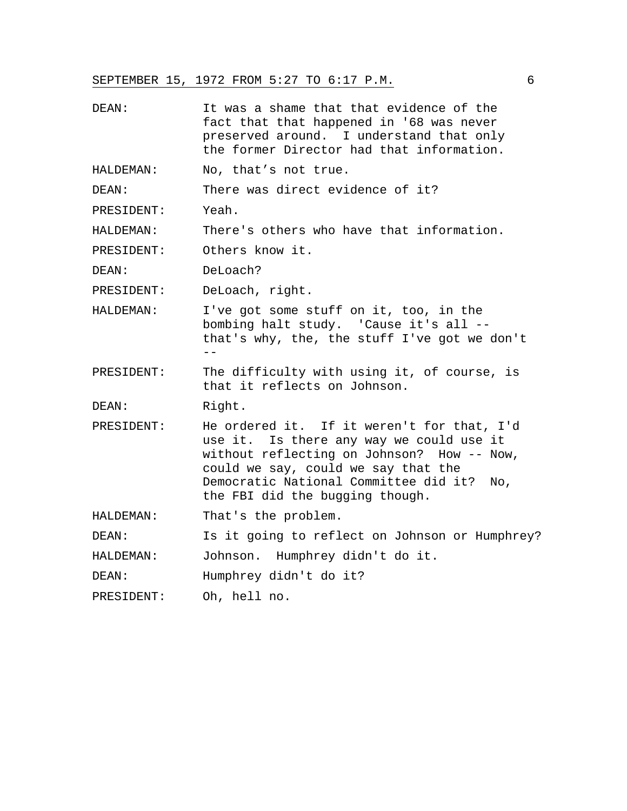DEAN: It was a shame that that evidence of the fact that that happened in '68 was never preserved around. I understand that only the former Director had that information. HALDEMAN: No, that's not true. DEAN: There was direct evidence of it? PRESIDENT: Yeah. HALDEMAN: There's others who have that information. PRESIDENT: Others know it. DEAN: DeLoach? PRESIDENT: DeLoach, right. HALDEMAN: I've got some stuff on it, too, in the bombing halt study. 'Cause it's all - that's why, the, the stuff I've got we don't -- PRESIDENT: The difficulty with using it, of course, is that it reflects on Johnson. DEAN: Right. PRESIDENT: He ordered it. If it weren't for that, I'd use it. Is there any way we could use it without reflecting on Johnson? How -- Now, could we say, could we say that the Democratic National Committee did it? No, the FBI did the bugging though. HALDEMAN: That's the problem. DEAN: Is it going to reflect on Johnson or Humphrey? HALDEMAN: Johnson. Humphrey didn't do it. DEAN: Humphrey didn't do it? PRESIDENT: Oh, hell no.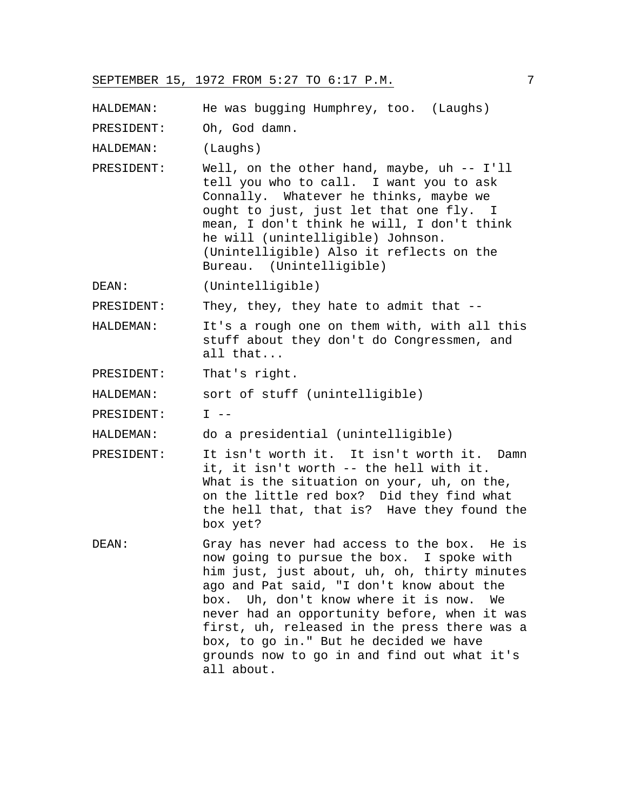HALDEMAN: He was bugging Humphrey, too. (Laughs)

PRESIDENT: Oh, God damn.

HALDEMAN: (Laughs)

PRESIDENT: Well, on the other hand, maybe, uh -- I'll tell you who to call. I want you to ask Connally. Whatever he thinks, maybe we ought to just, just let that one fly. I mean, I don't think he will, I don't think he will (unintelligible) Johnson. (Unintelligible) Also it reflects on the Bureau. (Unintelligible)

DEAN: (Unintelligible)

PRESIDENT: They, they, they hate to admit that --

HALDEMAN: It's a rough one on them with, with all this stuff about they don't do Congressmen, and all that...

PRESIDENT: That's right.

HALDEMAN: sort of stuff (unintelligible)

PRESIDENT: T --

HALDEMAN: do a presidential (unintelligible)

- PRESIDENT: It isn't worth it. It isn't worth it. Damn it, it isn't worth -- the hell with it. What is the situation on your, uh, on the, on the little red box? Did they find what the hell that, that is? Have they found the box yet?
- DEAN: Gray has never had access to the box. He is now going to pursue the box. I spoke with him just, just about, uh, oh, thirty minutes ago and Pat said, "I don't know about the box. Uh, don't know where it is now. We never had an opportunity before, when it was first, uh, released in the press there was a box, to go in." But he decided we have grounds now to go in and find out what it's all about.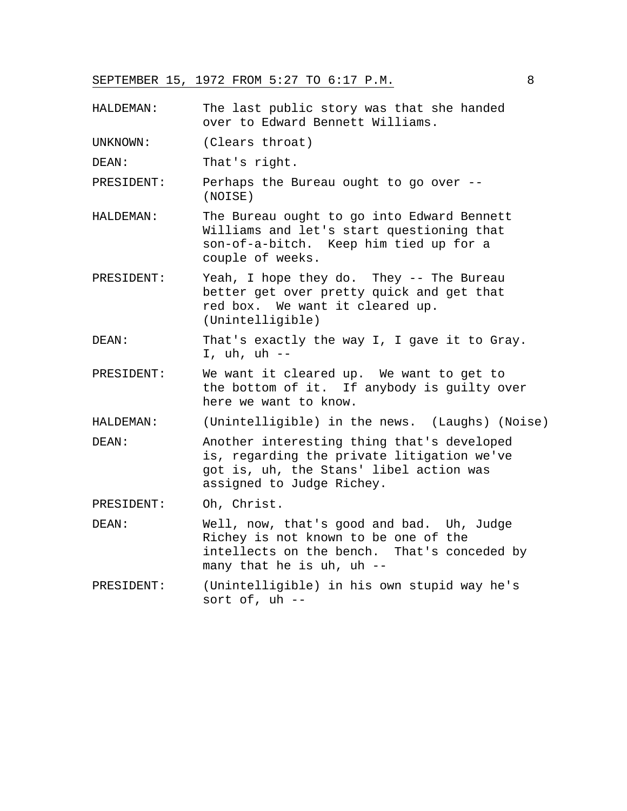HALDEMAN: The last public story was that she handed over to Edward Bennett Williams.

UNKNOWN: (Clears throat)

DEAN: That's right.

PRESIDENT: Perhaps the Bureau ought to go over -- (NOISE)

- HALDEMAN: The Bureau ought to go into Edward Bennett Williams and let's start questioning that son-of-a-bitch. Keep him tied up for a couple of weeks.
- PRESIDENT: Yeah, I hope they do. They -- The Bureau better get over pretty quick and get that red box. We want it cleared up. (Unintelligible)
- DEAN: That's exactly the way I, I gave it to Gray. I, uh, uh --
- PRESIDENT: We want it cleared up. We want to get to the bottom of it. If anybody is guilty over here we want to know.

HALDEMAN: (Unintelligible) in the news. (Laughs) (Noise)

- DEAN: Another interesting thing that's developed is, regarding the private litigation we've got is, uh, the Stans' libel action was assigned to Judge Richey.
- PRESIDENT: Oh, Christ.
- DEAN: Well, now, that's good and bad. Uh, Judge Richey is not known to be one of the intellects on the bench. That's conceded by many that he is uh, uh --
- PRESIDENT: (Unintelligible) in his own stupid way he's sort of, uh --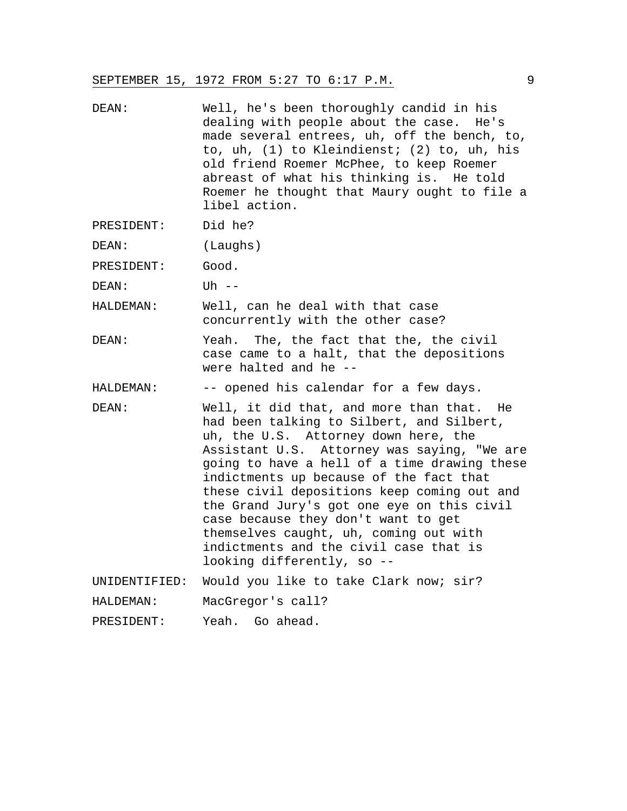- DEAN: Well, he's been thoroughly candid in his dealing with people about the case. He's made several entrees, uh, off the bench, to, to, uh, (1) to Kleindienst; (2) to, uh, his old friend Roemer McPhee, to keep Roemer abreast of what his thinking is. He told Roemer he thought that Maury ought to file a libel action.
- PRESIDENT: Did he?

DEAN: (Laughs)

PRESIDENT: Good.

DEAN: Uh --

HALDEMAN: Well, can he deal with that case concurrently with the other case?

DEAN: Yeah. The, the fact that the, the civil case came to a halt, that the depositions were halted and he --

HALDEMAN: -- opened his calendar for a few days.

DEAN: Well, it did that, and more than that. He had been talking to Silbert, and Silbert, uh, the U.S. Attorney down here, the Assistant U.S. Attorney was saying, "We are going to have a hell of a time drawing these indictments up because of the fact that these civil depositions keep coming out and the Grand Jury's got one eye on this civil case because they don't want to get themselves caught, uh, coming out with indictments and the civil case that is looking differently, so --

UNIDENTIFIED: Would you like to take Clark now; sir?

HALDEMAN: MacGregor's call?

PRESIDENT: Yeah. Go ahead.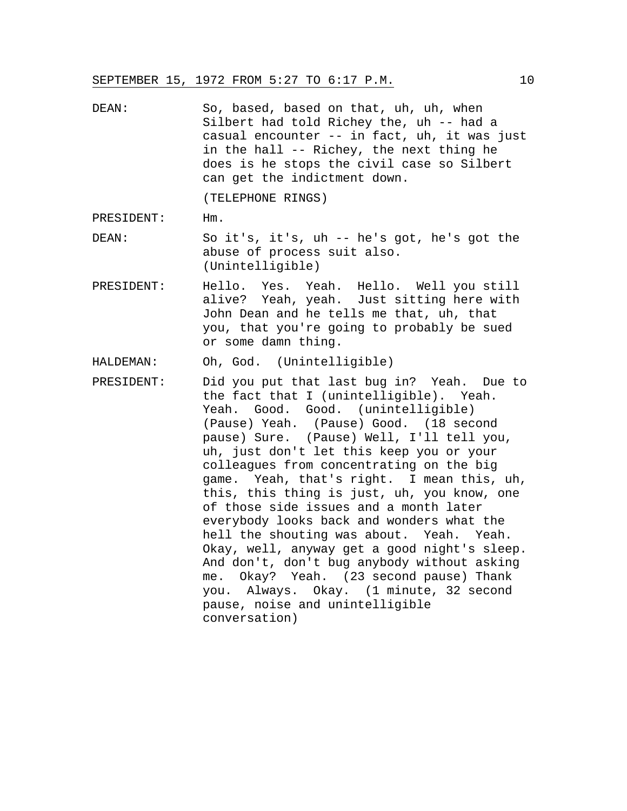DEAN: So, based, based on that, uh, uh, when Silbert had told Richey the, uh -- had a casual encounter -- in fact, uh, it was just in the hall -- Richey, the next thing he does is he stops the civil case so Silbert can get the indictment down.

(TELEPHONE RINGS)

PRESIDENT: Hm.

- DEAN: So it's, it's, uh -- he's got, he's got the abuse of process suit also. (Unintelligible)
- PRESIDENT: Hello. Yes. Yeah. Hello. Well you still alive? Yeah, yeah. Just sitting here with John Dean and he tells me that, uh, that you, that you're going to probably be sued or some damn thing.

HALDEMAN: Oh, God. (Unintelligible)

PRESIDENT: Did you put that last bug in? Yeah. Due to the fact that I (unintelligible). Yeah. Yeah. Good. Good. (unintelligible) (Pause) Yeah. (Pause) Good. (18 second pause) Sure. (Pause) Well, I'll tell you, uh, just don't let this keep you or your colleagues from concentrating on the big game. Yeah, that's right. I mean this, uh, this, this thing is just, uh, you know, one of those side issues and a month later everybody looks back and wonders what the hell the shouting was about. Yeah. Yeah. Okay, well, anyway get a good night's sleep. And don't, don't bug anybody without asking me. Okay? Yeah. (23 second pause) Thank you. Always. Okay. (1 minute, 32 second pause, noise and unintelligible conversation)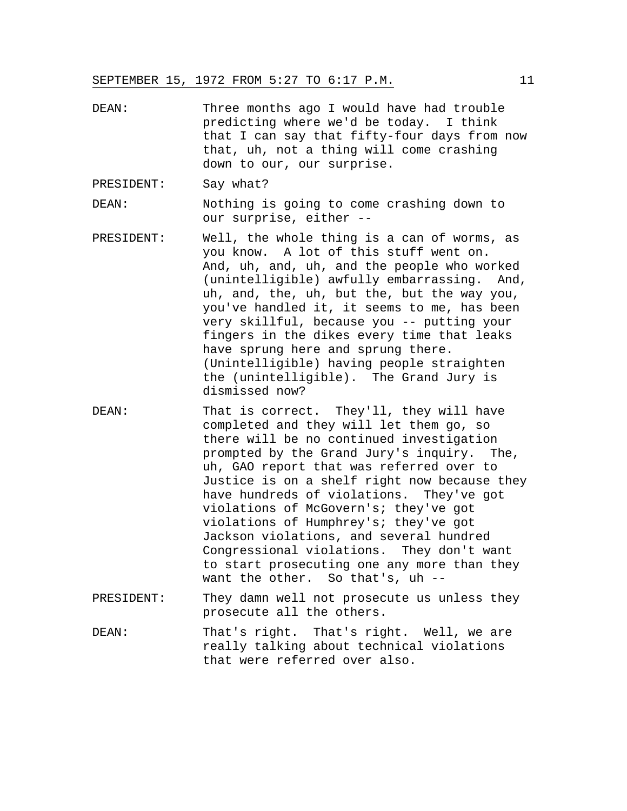DEAN: Three months ago I would have had trouble predicting where we'd be today. I think that I can say that fifty-four days from now that, uh, not a thing will come crashing down to our, our surprise.

PRESIDENT: Say what?

DEAN: Nothing is going to come crashing down to our surprise, either --

- PRESIDENT: Well, the whole thing is a can of worms, as you know. A lot of this stuff went on. And, uh, and, uh, and the people who worked (unintelligible) awfully embarrassing. And, uh, and, the, uh, but the, but the way you, you've handled it, it seems to me, has been very skillful, because you -- putting your fingers in the dikes every time that leaks have sprung here and sprung there. (Unintelligible) having people straighten the (unintelligible). The Grand Jury is dismissed now?
- DEAN: That is correct. They'll, they will have completed and they will let them go, so there will be no continued investigation prompted by the Grand Jury's inquiry. The, uh, GAO report that was referred over to Justice is on a shelf right now because they have hundreds of violations. They've got violations of McGovern's; they've got violations of Humphrey's; they've got Jackson violations, and several hundred Congressional violations. They don't want to start prosecuting one any more than they want the other. So that's, uh --
- PRESIDENT: They damn well not prosecute us unless they prosecute all the others.
- DEAN: That's right. That's right. Well, we are really talking about technical violations that were referred over also.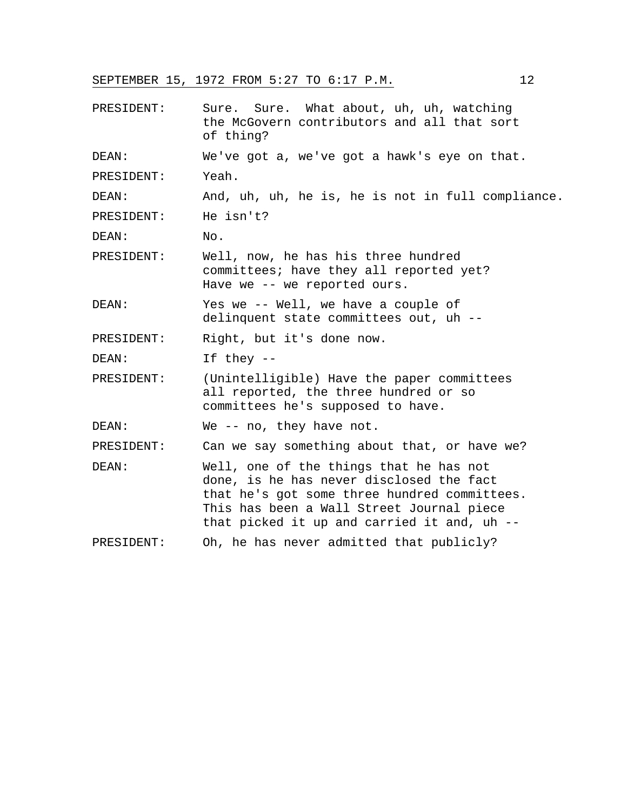| PRESIDENT: | Sure. What about, uh, uh, watching<br>Sure.<br>the McGovern contributors and all that sort<br>of thing?                                                                                                                         |
|------------|---------------------------------------------------------------------------------------------------------------------------------------------------------------------------------------------------------------------------------|
| DEAN:      | We've got a, we've got a hawk's eye on that.                                                                                                                                                                                    |
| PRESIDENT: | Yeah.                                                                                                                                                                                                                           |
| DEAN:      | And, uh, uh, he is, he is not in full compliance.                                                                                                                                                                               |
| PRESIDENT: | He isn't?                                                                                                                                                                                                                       |
| DEAN:      | No.                                                                                                                                                                                                                             |
| PRESIDENT: | Well, now, he has his three hundred<br>committees; have they all reported yet?<br>Have we -- we reported ours.                                                                                                                  |
| DEAN:      | Yes we -- Well, we have a couple of<br>delinquent state committees out, uh --                                                                                                                                                   |
| PRESIDENT: | Right, but it's done now.                                                                                                                                                                                                       |
| DEAN:      | If they $--$                                                                                                                                                                                                                    |
| PRESIDENT: | (Unintelligible) Have the paper committees<br>all reported, the three hundred or so<br>committees he's supposed to have.                                                                                                        |
| DEAN:      | We $-$ no, they have not.                                                                                                                                                                                                       |
| PRESIDENT: | Can we say something about that, or have we?                                                                                                                                                                                    |
| DEAN:      | Well, one of the things that he has not<br>done, is he has never disclosed the fact<br>that he's got some three hundred committees.<br>This has been a Wall Street Journal piece<br>that picked it up and carried it and, uh -- |
| PRESIDENT: | Oh, he has never admitted that publicly?                                                                                                                                                                                        |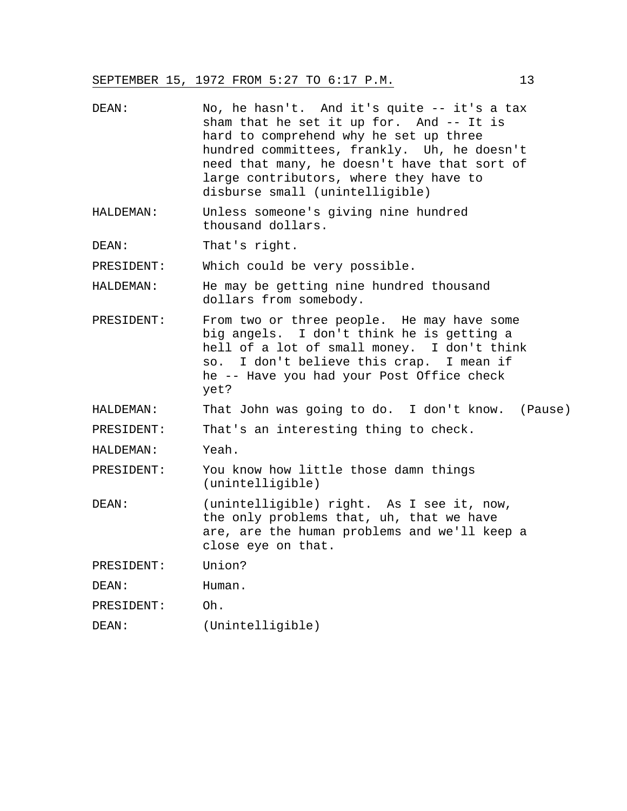| DEAN: | No, he hasn't. And it's quite -- it's a tax  |
|-------|----------------------------------------------|
|       | sham that he set it up for. And $-$ - It is  |
|       | hard to comprehend why he set up three       |
|       | hundred committees, frankly. Uh, he doesn't  |
|       | need that many, he doesn't have that sort of |
|       | large contributors, where they have to       |
|       | disburse small (unintelligible)              |

HALDEMAN: Unless someone's giving nine hundred thousand dollars.

DEAN: That's right.

PRESIDENT: Which could be very possible.

HALDEMAN: He may be getting nine hundred thousand dollars from somebody.

- PRESIDENT: From two or three people. He may have some big angels. I don't think he is getting a hell of a lot of small money. I don't think so. I don't believe this crap. I mean if he -- Have you had your Post Office check yet?
- HALDEMAN: That John was going to do. I don't know. (Pause)

PRESIDENT: That's an interesting thing to check.

HALDEMAN: Yeah.

PRESIDENT: You know how little those damn things (unintelligible)

DEAN: (unintelligible) right. As I see it, now, the only problems that, uh, that we have are, are the human problems and we'll keep a close eye on that.

PRESIDENT: Union?

DEAN: Human.

PRESIDENT: Oh.

DEAN: (Unintelligible)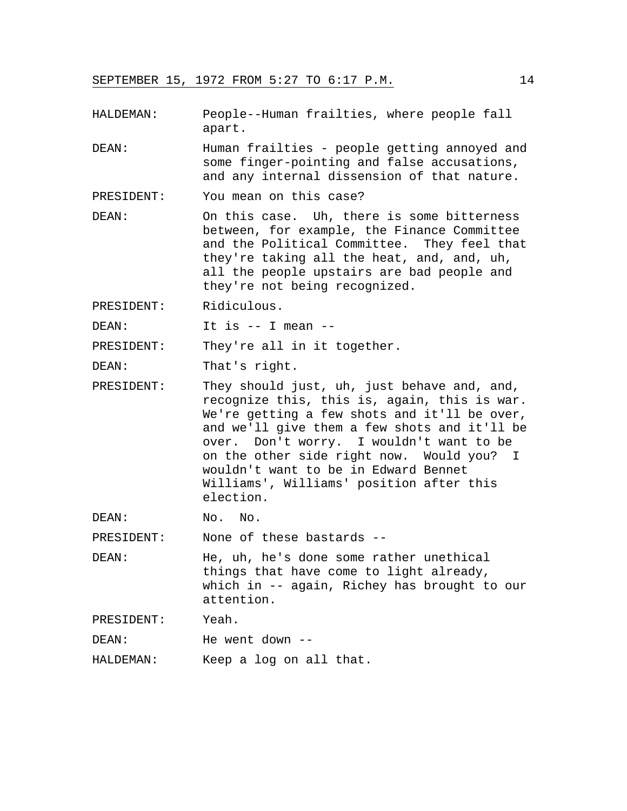- HALDEMAN: People--Human frailties, where people fall apart.
- DEAN: Human frailties people getting annoyed and some finger-pointing and false accusations, and any internal dissension of that nature.
- PRESIDENT: You mean on this case?
- DEAN: On this case. Uh, there is some bitterness between, for example, the Finance Committee and the Political Committee. They feel that they're taking all the heat, and, and, uh, all the people upstairs are bad people and they're not being recognized.
- PRESIDENT: Ridiculous.
- DEAN: It is -- I mean --

PRESIDENT: They're all in it together.

DEAN: That's right.

PRESIDENT: They should just, uh, just behave and, and, recognize this, this is, again, this is war. We're getting a few shots and it'll be over, and we'll give them a few shots and it'll be over. Don't worry. I wouldn't want to be on the other side right now. Would you? I wouldn't want to be in Edward Bennet Williams', Williams' position after this election.

DEAN: No. No.

PRESIDENT: None of these bastards --

DEAN: He, uh, he's done some rather unethical things that have come to light already, which in -- again, Richey has brought to our attention.

PRESIDENT: Yeah.

DEAN: He went down --

HALDEMAN: Keep a log on all that.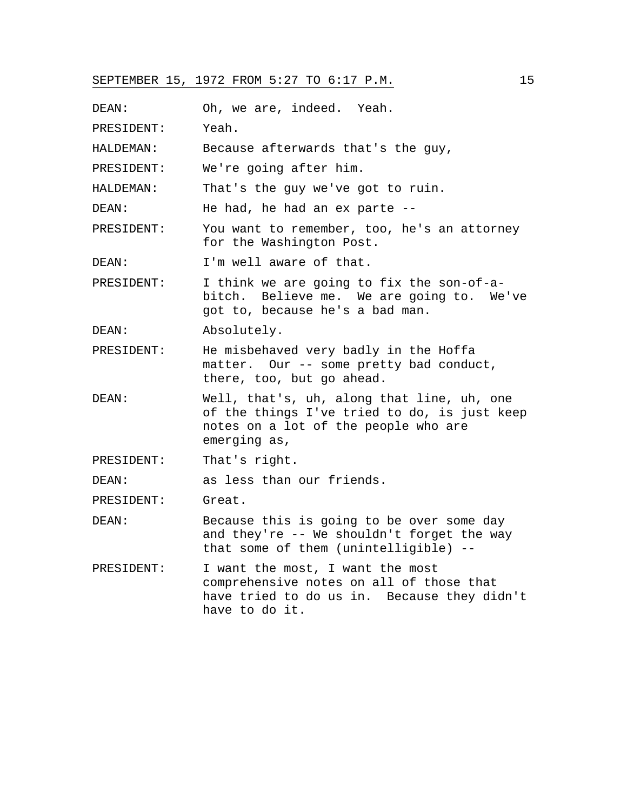DEAN: Oh, we are, indeed. Yeah. PRESIDENT: Yeah. HALDEMAN: Because afterwards that's the guy, PRESIDENT: We're going after him. HALDEMAN: That's the guy we've got to ruin. DEAN: He had, he had an ex parte --PRESIDENT: You want to remember, too, he's an attorney for the Washington Post. DEAN: I'm well aware of that. PRESIDENT: I think we are going to fix the son-of-abitch. Believe me. We are going to. We've got to, because he's a bad man. DEAN: Absolutely. PRESIDENT: He misbehaved very badly in the Hoffa matter. Our -- some pretty bad conduct, there, too, but go ahead. DEAN: Well, that's, uh, along that line, uh, one of the things I've tried to do, is just keep notes on a lot of the people who are emerging as, PRESIDENT: That's right. DEAN: as less than our friends. PRESIDENT: Great. DEAN: Because this is going to be over some day and they're -- We shouldn't forget the way that some of them (unintelligible) -- PRESIDENT: I want the most, I want the most comprehensive notes on all of those that have tried to do us in. Because they didn't have to do it.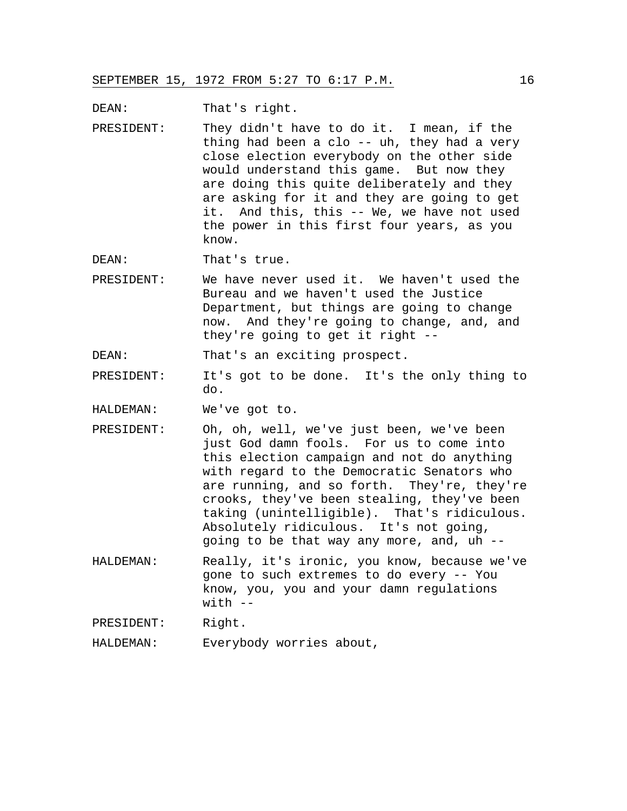DEAN: That's right.

PRESIDENT: They didn't have to do it. I mean, if the thing had been a clo -- uh, they had a very close election everybody on the other side would understand this game. But now they are doing this quite deliberately and they are asking for it and they are going to get it. And this, this -- We, we have not used the power in this first four years, as you know.

DEAN: That's true.

PRESIDENT: We have never used it. We haven't used the Bureau and we haven't used the Justice Department, but things are going to change now. And they're going to change, and, and they're going to get it right --

DEAN: That's an exciting prospect.

PRESIDENT: It's got to be done. It's the only thing to do.

HALDEMAN: We've got to.

- PRESIDENT: Oh, oh, well, we've just been, we've been just God damn fools. For us to come into this election campaign and not do anything with regard to the Democratic Senators who are running, and so forth. They're, they're crooks, they've been stealing, they've been taking (unintelligible). That's ridiculous. Absolutely ridiculous. It's not going, going to be that way any more, and, uh --
- HALDEMAN: Really, it's ironic, you know, because we've gone to such extremes to do every -- You know, you, you and your damn regulations  $with$   $-$

PRESIDENT: Right.

HALDEMAN: Everybody worries about,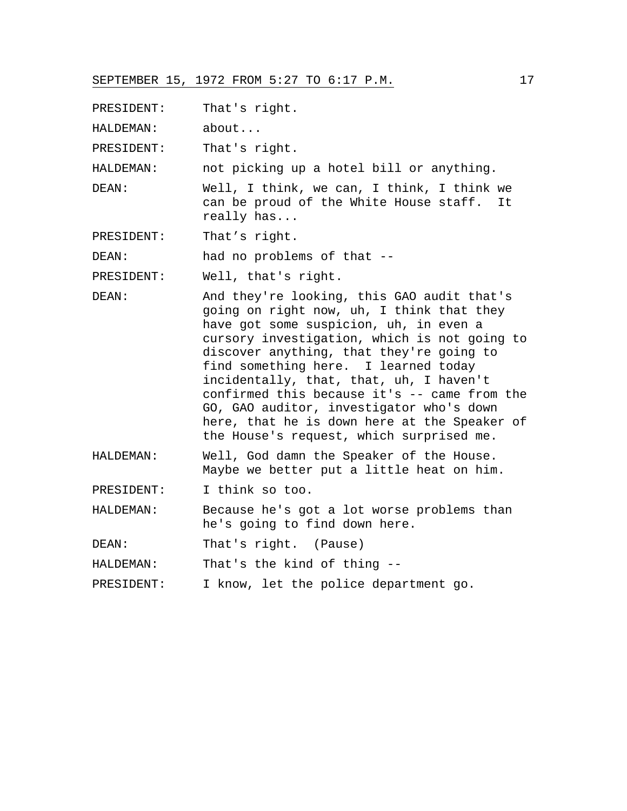PRESIDENT: That's right.

HALDEMAN: about...

PRESIDENT: That's right.

HALDEMAN: not picking up a hotel bill or anything.

DEAN: Well, I think, we can, I think, I think we can be proud of the White House staff. It really has...

PRESIDENT: That's right.

DEAN: had no problems of that --

PRESIDENT: Well, that's right.

- DEAN: And they're looking, this GAO audit that's going on right now, uh, I think that they have got some suspicion, uh, in even a cursory investigation, which is not going to discover anything, that they're going to find something here. I learned today incidentally, that, that, uh, I haven't confirmed this because it's -- came from the GO, GAO auditor, investigator who's down here, that he is down here at the Speaker of the House's request, which surprised me.
- HALDEMAN: Well, God damn the Speaker of the House. Maybe we better put a little heat on him.

PRESIDENT: I think so too.

HALDEMAN: Because he's got a lot worse problems than he's going to find down here.

DEAN: That's right. (Pause)

HALDEMAN: That's the kind of thing --

PRESIDENT: I know, let the police department go.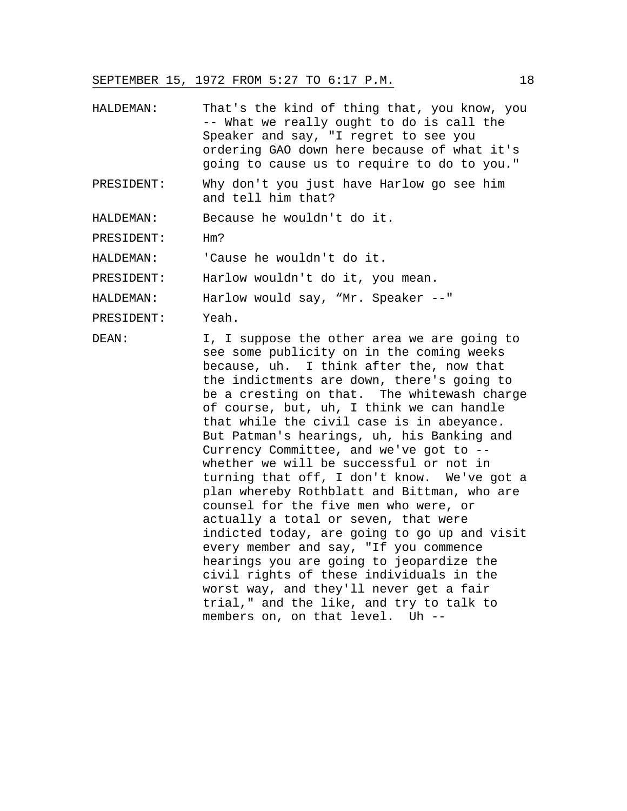- HALDEMAN: That's the kind of thing that, you know, you -- What we really ought to do is call the Speaker and say, "I regret to see you ordering GAO down here because of what it's going to cause us to require to do to you."
- PRESIDENT: Why don't you just have Harlow go see him and tell him that?

HALDEMAN: Because he wouldn't do it.

PRESIDENT: Hm?

HALDEMAN: 'Cause he wouldn't do it.

PRESIDENT: Harlow wouldn't do it, you mean.

HALDEMAN: Harlow would say, "Mr. Speaker --"

PRESIDENT: Yeah.

DEAN: I, I suppose the other area we are going to see some publicity on in the coming weeks because, uh. I think after the, now that the indictments are down, there's going to be a cresting on that. The whitewash charge of course, but, uh, I think we can handle that while the civil case is in abeyance. But Patman's hearings, uh, his Banking and Currency Committee, and we've got to - whether we will be successful or not in turning that off, I don't know. We've got a plan whereby Rothblatt and Bittman, who are counsel for the five men who were, or actually a total or seven, that were indicted today, are going to go up and visit every member and say, "If you commence hearings you are going to jeopardize the civil rights of these individuals in the worst way, and they'll never get a fair trial," and the like, and try to talk to members on, on that level. Uh --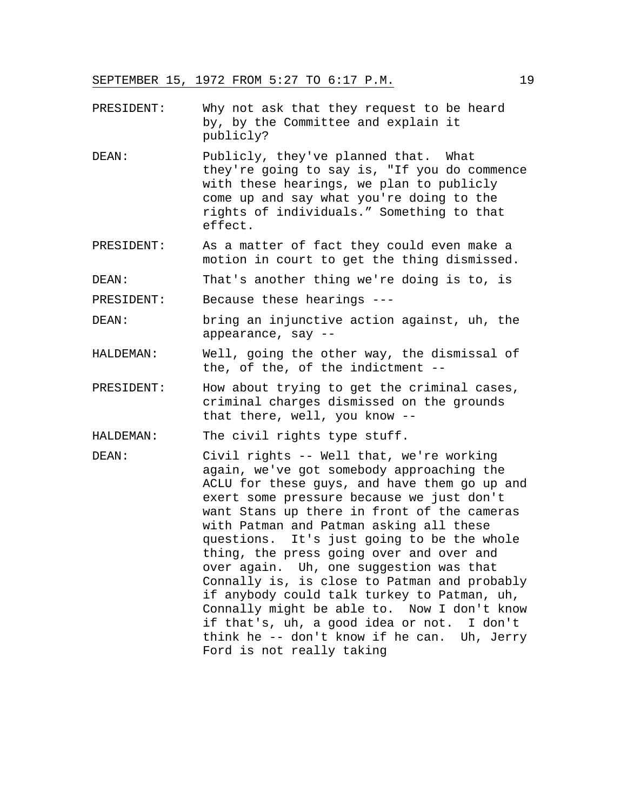- PRESIDENT: Why not ask that they request to be heard by, by the Committee and explain it publicly?
- DEAN: Publicly, they've planned that. What they're going to say is, "If you do commence with these hearings, we plan to publicly come up and say what you're doing to the rights of individuals." Something to that effect.
- PRESIDENT: As a matter of fact they could even make a motion in court to get the thing dismissed.

DEAN: That's another thing we're doing is to, is

- PRESIDENT: Because these hearings ---
- DEAN: bring an injunctive action against, uh, the appearance, say --
- HALDEMAN: Well, going the other way, the dismissal of the, of the, of the indictment --
- PRESIDENT: How about trying to get the criminal cases, criminal charges dismissed on the grounds that there, well, you know --

HALDEMAN: The civil rights type stuff.

DEAN: Civil rights -- Well that, we're working again, we've got somebody approaching the ACLU for these guys, and have them go up and exert some pressure because we just don't want Stans up there in front of the cameras with Patman and Patman asking all these questions. It's just going to be the whole thing, the press going over and over and over again. Uh, one suggestion was that Connally is, is close to Patman and probably if anybody could talk turkey to Patman, uh, Connally might be able to. Now I don't know if that's, uh, a good idea or not. I don't think he -- don't know if he can. Uh, Jerry Ford is not really taking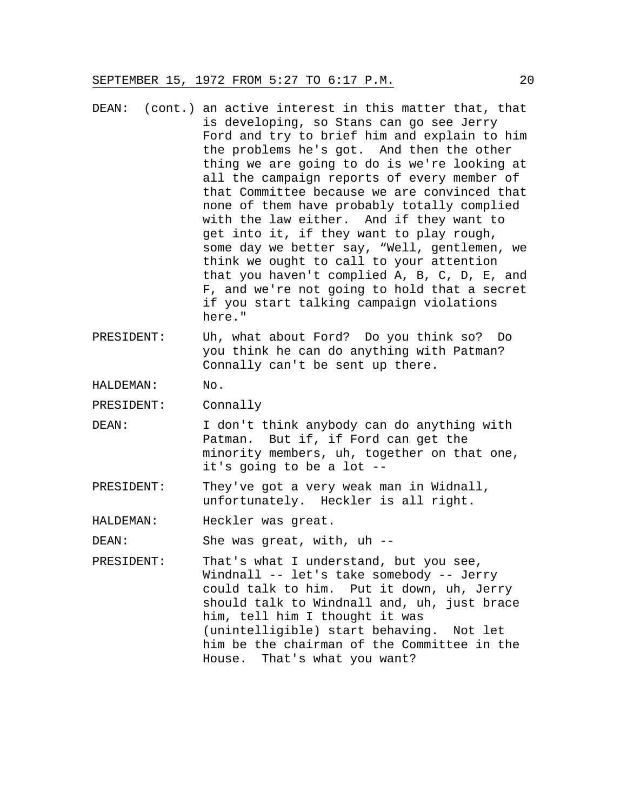- DEAN: (cont.) an active interest in this matter that, that is developing, so Stans can go see Jerry Ford and try to brief him and explain to him the problems he's got. And then the other thing we are going to do is we're looking at all the campaign reports of every member of that Committee because we are convinced that none of them have probably totally complied with the law either. And if they want to get into it, if they want to play rough, some day we better say, "Well, gentlemen, we think we ought to call to your attention that you haven't complied A, B, C, D, E, and F, and we're not going to hold that a secret if you start talking campaign violations here."
- PRESIDENT: Uh, what about Ford? Do you think so? Do you think he can do anything with Patman? Connally can't be sent up there.

HALDEMAN: No.

PRESIDENT: Connally

- DEAN: I don't think anybody can do anything with Patman. But if, if Ford can get the minority members, uh, together on that one, it's going to be a lot --
- PRESIDENT: They've got a very weak man in Widnall, unfortunately. Heckler is all right.

HALDEMAN: Heckler was great.

DEAN: She was great, with, uh --

PRESIDENT: That's what I understand, but you see, Windnall -- let's take somebody -- Jerry could talk to him. Put it down, uh, Jerry should talk to Windnall and, uh, just brace him, tell him I thought it was (unintelligible) start behaving. Not let him be the chairman of the Committee in the House. That's what you want?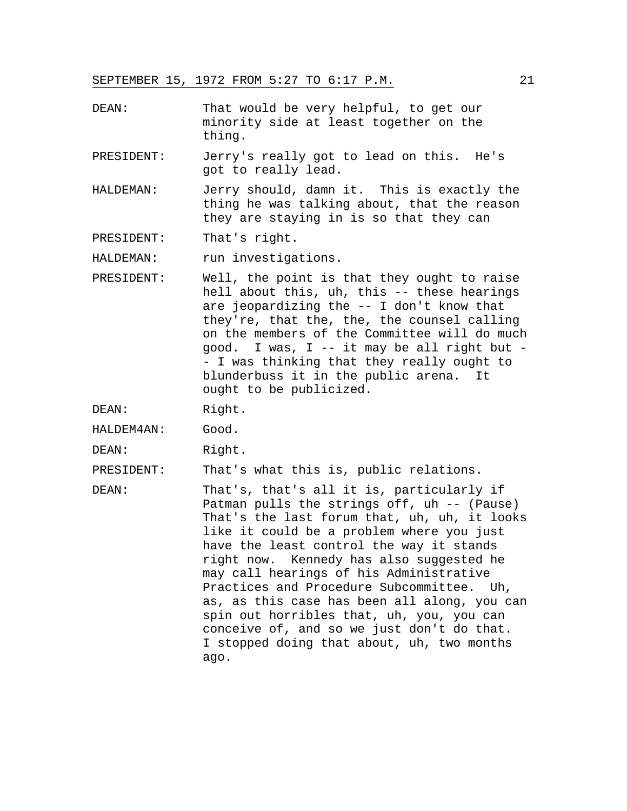- DEAN: That would be very helpful, to get our minority side at least together on the thing.
- PRESIDENT: Jerry's really got to lead on this. He's got to really lead.
- HALDEMAN: Jerry should, damn it. This is exactly the thing he was talking about, that the reason they are staying in is so that they can

PRESIDENT: That's right.

HALDEMAN: run investigations.

- PRESIDENT: Well, the point is that they ought to raise hell about this, uh, this -- these hearings are jeopardizing the -- I don't know that they're, that the, the, the counsel calling on the members of the Committee will do much good. I was, I -- it may be all right but - - I was thinking that they really ought to blunderbuss it in the public arena. It ought to be publicized.
- DEAN: Right.
- HALDEM4AN: Good.
- DEAN: Right.

PRESIDENT: That's what this is, public relations.

DEAN: That's, that's all it is, particularly if Patman pulls the strings off, uh -- (Pause) That's the last forum that, uh, uh, it looks like it could be a problem where you just have the least control the way it stands right now. Kennedy has also suggested he may call hearings of his Administrative Practices and Procedure Subcommittee. Uh, as, as this case has been all along, you can spin out horribles that, uh, you, you can conceive of, and so we just don't do that. I stopped doing that about, uh, two months ago.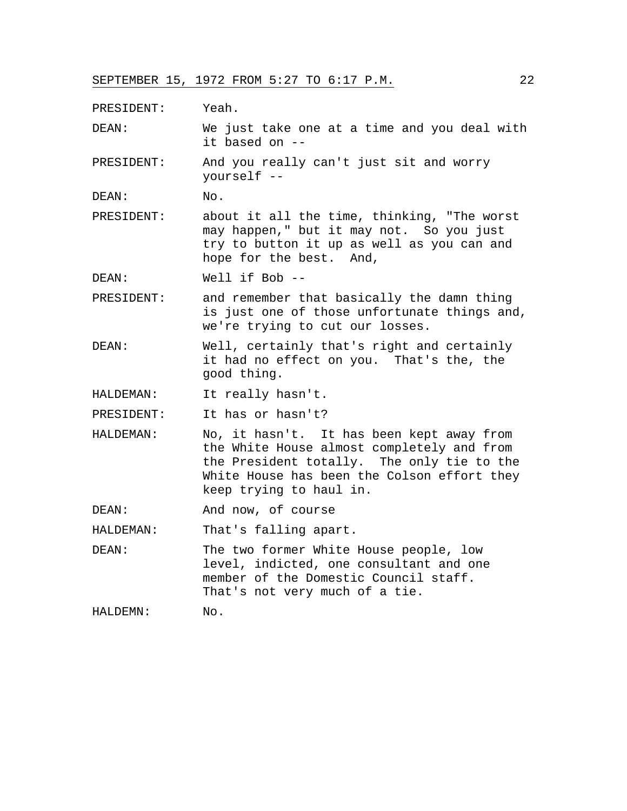PRESIDENT: Yeah.

DEAN: We just take one at a time and you deal with it based on --

PRESIDENT: And you really can't just sit and worry yourself --

DEAN: No.

PRESIDENT: about it all the time, thinking, "The worst may happen," but it may not. So you just try to button it up as well as you can and hope for the best. And,

DEAN: Well if Bob --

PRESIDENT: and remember that basically the damn thing is just one of those unfortunate things and, we're trying to cut our losses.

DEAN: Well, certainly that's right and certainly it had no effect on you. That's the, the good thing.

HALDEMAN: It really hasn't.

PRESIDENT: It has or hasn't?

HALDEMAN: No, it hasn't. It has been kept away from the White House almost completely and from the President totally. The only tie to the White House has been the Colson effort they keep trying to haul in.

DEAN: And now, of course

HALDEMAN: That's falling apart.

DEAN: The two former White House people, low level, indicted, one consultant and one member of the Domestic Council staff. That's not very much of a tie.

HALDEMN: No.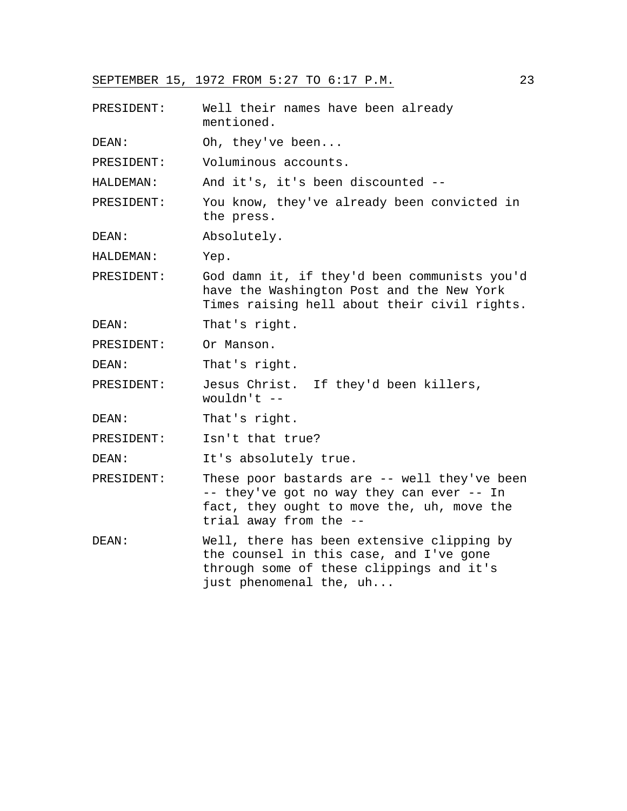| PRESIDENT: | Well their names have been already<br>mentioned.                                                                                                                  |
|------------|-------------------------------------------------------------------------------------------------------------------------------------------------------------------|
| DEAN:      | Oh, they've been                                                                                                                                                  |
| PRESIDENT: | Voluminous accounts.                                                                                                                                              |
| HALDEMAN:  | And it's, it's been discounted --                                                                                                                                 |
| PRESIDENT: | You know, they've already been convicted in<br>the press.                                                                                                         |
| DEAN:      | Absolutely.                                                                                                                                                       |
| HALDEMAN:  | Yep.                                                                                                                                                              |
| PRESIDENT: | God damn it, if they'd been communists you'd<br>have the Washington Post and the New York<br>Times raising hell about their civil rights.                         |
| DEAN:      | That's right.                                                                                                                                                     |
| PRESIDENT: | Or Manson.                                                                                                                                                        |
| DEAN:      | That's right.                                                                                                                                                     |
| PRESIDENT: | Jesus Christ. If they'd been killers,<br>wouldn't $--$                                                                                                            |
| DEAN:      | That's right.                                                                                                                                                     |
| PRESIDENT: | Isn't that true?                                                                                                                                                  |
| DEAN:      | It's absolutely true.                                                                                                                                             |
| PRESIDENT: | These poor bastards are -- well they've been<br>-- they've got no way they can ever -- In<br>fact, they ought to move the, uh, move the<br>trial away from the -- |
| DEAN:      | Well, there has been extensive clipping by<br>the counsel in this case, and I've gone<br>through some of these clippings and it's<br>just phenomenal the, uh      |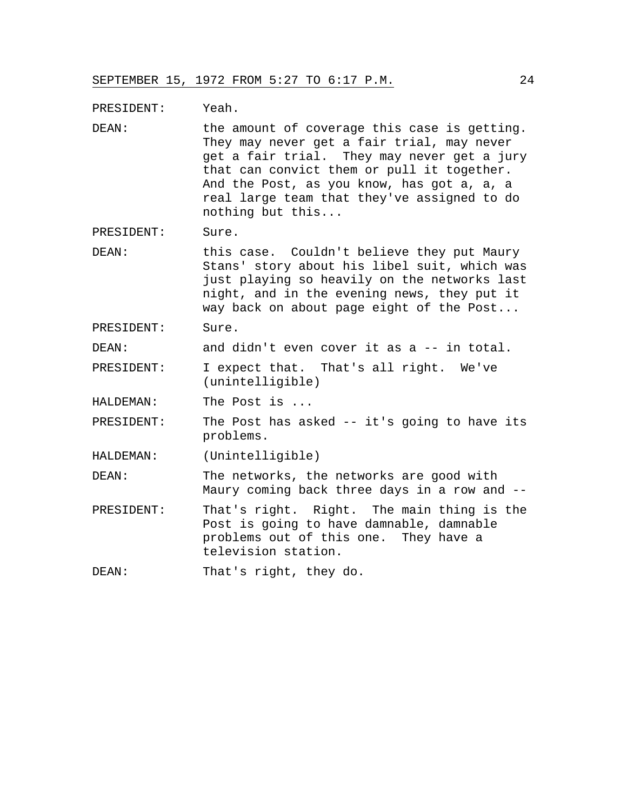PRESIDENT: Yeah.

DEAN: the amount of coverage this case is getting. They may never get a fair trial, may never get a fair trial. They may never get a jury that can convict them or pull it together. And the Post, as you know, has got a, a, a real large team that they've assigned to do nothing but this...

PRESIDENT: Sure.

DEAN: this case. Couldn't believe they put Maury Stans' story about his libel suit, which was just playing so heavily on the networks last night, and in the evening news, they put it way back on about page eight of the Post...

PRESIDENT: Sure.

DEAN: and didn't even cover it as a -- in total.

- PRESIDENT: I expect that. That's all right. We've (unintelligible)
- HALDEMAN: The Post is ...
- PRESIDENT: The Post has asked -- it's going to have its problems.

HALDEMAN: (Unintelligible)

DEAN: The networks, the networks are good with Maury coming back three days in a row and --

PRESIDENT: That's right. Right. The main thing is the Post is going to have damnable, damnable problems out of this one. They have a television station.

DEAN: That's right, they do.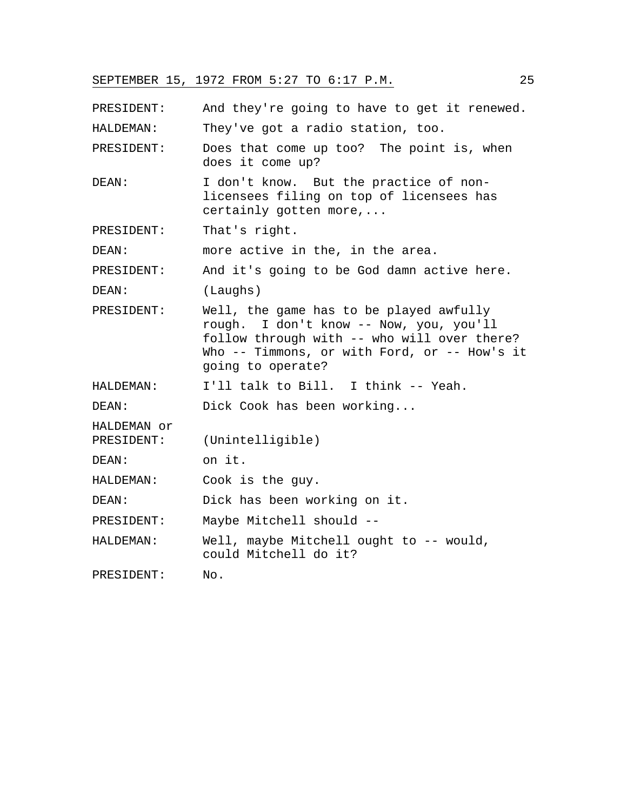PRESIDENT: And they're going to have to get it renewed. HALDEMAN: They've got a radio station, too. PRESIDENT: Does that come up too? The point is, when does it come up? DEAN: I don't know. But the practice of nonlicensees filing on top of licensees has certainly gotten more,... PRESIDENT: That's right. DEAN: more active in the, in the area. PRESIDENT: And it's going to be God damn active here. DEAN: (Laughs) PRESIDENT: Well, the game has to be played awfully rough. I don't know -- Now, you, you'll follow through with -- who will over there? Who -- Timmons, or with Ford, or -- How's it going to operate? HALDEMAN: I'll talk to Bill. I think -- Yeah. DEAN: Dick Cook has been working... HALDEMAN or PRESIDENT: (Unintelligible) DEAN: on it. HALDEMAN: Cook is the guy. DEAN: Dick has been working on it. PRESIDENT: Maybe Mitchell should -- HALDEMAN: Well, maybe Mitchell ought to -- would, could Mitchell do it? PRESIDENT: No.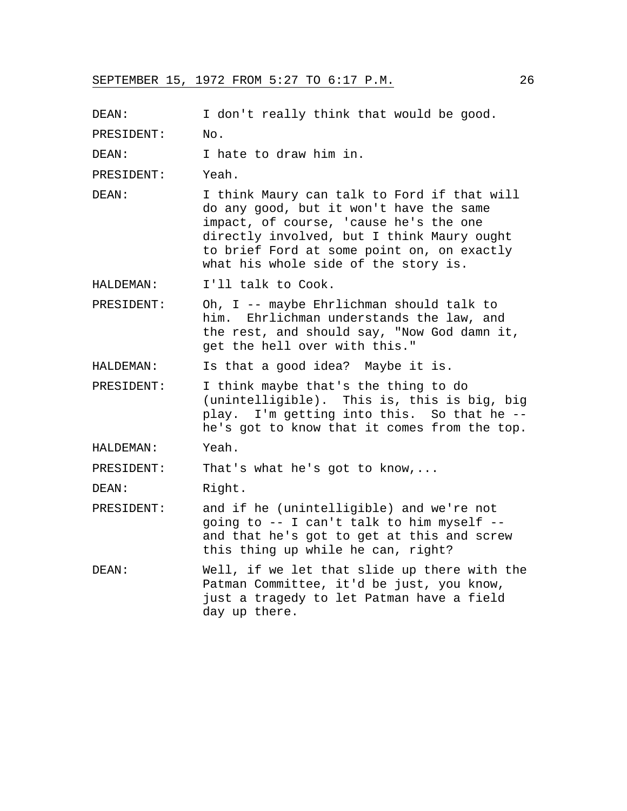PRESIDENT: No. DEAN: I hate to draw him in. PRESIDENT: Yeah. DEAN: I think Maury can talk to Ford if that will do any good, but it won't have the same impact, of course, 'cause he's the one

DEAN: I don't really think that would be good.

directly involved, but I think Maury ought to brief Ford at some point on, on exactly what his whole side of the story is.

HALDEMAN: I'll talk to Cook.

PRESIDENT: Oh, I -- maybe Ehrlichman should talk to him. Ehrlichman understands the law, and the rest, and should say, "Now God damn it, get the hell over with this."

HALDEMAN: Is that a good idea? Maybe it is.

PRESIDENT: I think maybe that's the thing to do (unintelligible). This is, this is big, big play. I'm getting into this. So that he - he's got to know that it comes from the top.

HALDEMAN: Yeah.

PRESIDENT: That's what he's got to know,...

DEAN: Right.

- PRESIDENT: and if he (unintelligible) and we're not going to -- I can't talk to him myself - and that he's got to get at this and screw this thing up while he can, right?
- DEAN: Well, if we let that slide up there with the Patman Committee, it'd be just, you know, just a tragedy to let Patman have a field day up there.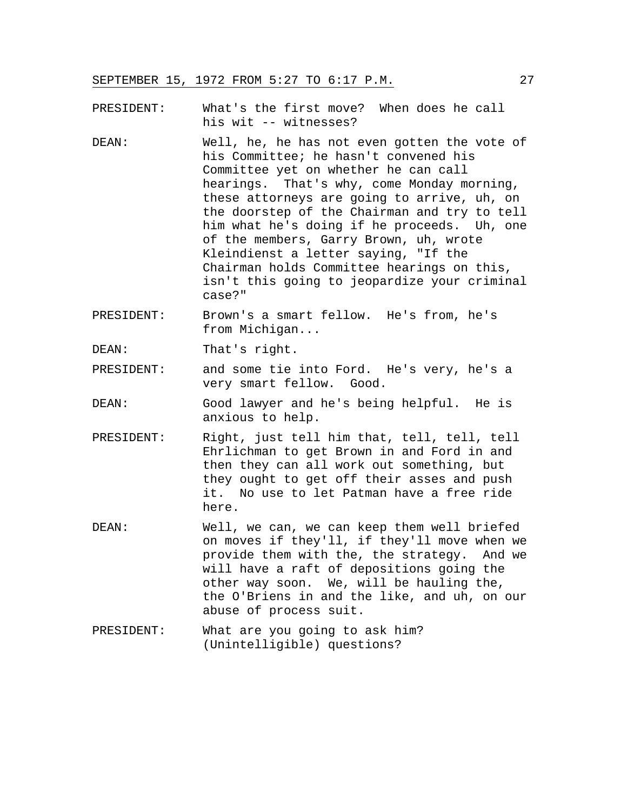PRESIDENT: What's the first move? When does he call his wit -- witnesses?

- DEAN: Well, he, he has not even gotten the vote of his Committee; he hasn't convened his Committee yet on whether he can call hearings. That's why, come Monday morning, these attorneys are going to arrive, uh, on the doorstep of the Chairman and try to tell him what he's doing if he proceeds. Uh, one of the members, Garry Brown, uh, wrote Kleindienst a letter saying, "If the Chairman holds Committee hearings on this, isn't this going to jeopardize your criminal case?"
- PRESIDENT: Brown's a smart fellow. He's from, he's from Michigan...
- DEAN: That's right.
- PRESIDENT: and some tie into Ford. He's very, he's a very smart fellow. Good.
- DEAN: Good lawyer and he's being helpful. He is anxious to help.
- PRESIDENT: Right, just tell him that, tell, tell, tell Ehrlichman to get Brown in and Ford in and then they can all work out something, but they ought to get off their asses and push it. No use to let Patman have a free ride here.
- DEAN: Well, we can, we can keep them well briefed on moves if they'll, if they'll move when we provide them with the, the strategy. And we will have a raft of depositions going the other way soon. We, will be hauling the, the O'Briens in and the like, and uh, on our abuse of process suit.
- PRESIDENT: What are you going to ask him? (Unintelligible) questions?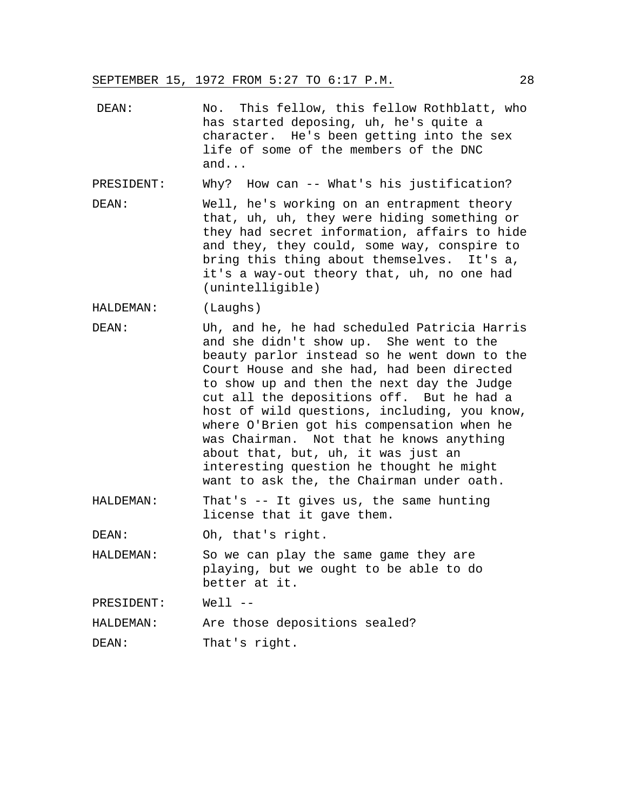DEAN: No. This fellow, this fellow Rothblatt, who has started deposing, uh, he's quite a character. He's been getting into the sex life of some of the members of the DNC and...

PRESIDENT: Why? How can -- What's his justification?

DEAN: Well, he's working on an entrapment theory that, uh, uh, they were hiding something or they had secret information, affairs to hide and they, they could, some way, conspire to bring this thing about themselves. It's a, it's a way-out theory that, uh, no one had (unintelligible)

HALDEMAN: (Laughs)

- DEAN: Uh, and he, he had scheduled Patricia Harris and she didn't show up. She went to the beauty parlor instead so he went down to the Court House and she had, had been directed to show up and then the next day the Judge cut all the depositions off. But he had a host of wild questions, including, you know, where O'Brien got his compensation when he was Chairman. Not that he knows anything about that, but, uh, it was just an interesting question he thought he might want to ask the, the Chairman under oath.
- HALDEMAN: That's -- It gives us, the same hunting license that it gave them.

DEAN: Oh, that's right.

HALDEMAN: So we can play the same game they are playing, but we ought to be able to do better at it.

PRESIDENT: Well --

HALDEMAN: Are those depositions sealed?

DEAN: That's right.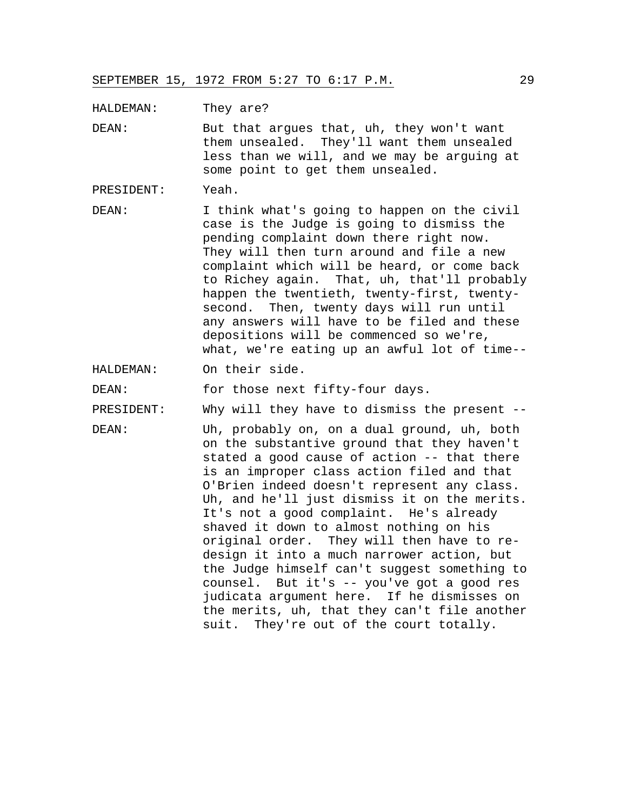HALDEMAN: They are?

DEAN: But that argues that, uh, they won't want them unsealed. They'll want them unsealed less than we will, and we may be arguing at some point to get them unsealed.

PRESIDENT: Yeah.

DEAN: I think what's going to happen on the civil case is the Judge is going to dismiss the pending complaint down there right now. They will then turn around and file a new complaint which will be heard, or come back to Richey again. That, uh, that'll probably happen the twentieth, twenty-first, twentysecond. Then, twenty days will run until any answers will have to be filed and these depositions will be commenced so we're, what, we're eating up an awful lot of time--

HALDEMAN: On their side.

DEAN: for those next fifty-four days.

PRESIDENT: Why will they have to dismiss the present --

DEAN: Uh, probably on, on a dual ground, uh, both on the substantive ground that they haven't stated a good cause of action -- that there is an improper class action filed and that O'Brien indeed doesn't represent any class. Uh, and he'll just dismiss it on the merits. It's not a good complaint. He's already shaved it down to almost nothing on his original order. They will then have to redesign it into a much narrower action, but the Judge himself can't suggest something to counsel. But it's -- you've got a good res judicata argument here. If he dismisses on the merits, uh, that they can't file another suit. They're out of the court totally.